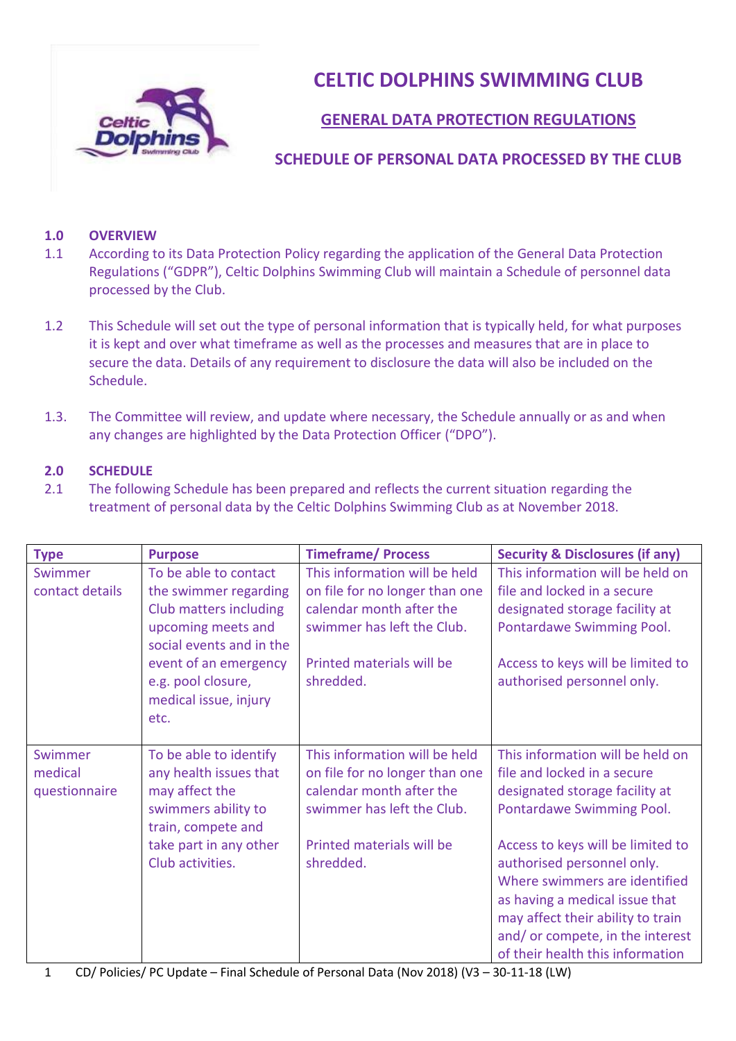

**CELTIC DOLPHINS SWIMMING CLUB**

## **GENERAL DATA PROTECTION REGULATIONS**

## **SCHEDULE OF PERSONAL DATA PROCESSED BY THE CLUB**

## **1.0 OVERVIEW**

- 1.1 According to its Data Protection Policy regarding the application of the General Data Protection Regulations ("GDPR"), Celtic Dolphins Swimming Club will maintain a Schedule of personnel data processed by the Club.
- 1.2 This Schedule will set out the type of personal information that is typically held, for what purposes it is kept and over what timeframe as well as the processes and measures that are in place to secure the data. Details of any requirement to disclosure the data will also be included on the Schedule.
- 1.3. The Committee will review, and update where necessary, the Schedule annually or as and when any changes are highlighted by the Data Protection Officer ("DPO").

## **2.0 SCHEDULE**

2.1 The following Schedule has been prepared and reflects the current situation regarding the treatment of personal data by the Celtic Dolphins Swimming Club as at November 2018.

| <b>Type</b>                         | <b>Purpose</b>                                                                                                                                                                                             | <b>Timeframe/Process</b>                                                                                                                                            | <b>Security &amp; Disclosures (if any)</b>                                                                                                                                                                                                     |
|-------------------------------------|------------------------------------------------------------------------------------------------------------------------------------------------------------------------------------------------------------|---------------------------------------------------------------------------------------------------------------------------------------------------------------------|------------------------------------------------------------------------------------------------------------------------------------------------------------------------------------------------------------------------------------------------|
| Swimmer<br>contact details          | To be able to contact<br>the swimmer regarding<br>Club matters including<br>upcoming meets and<br>social events and in the<br>event of an emergency<br>e.g. pool closure,<br>medical issue, injury<br>etc. | This information will be held<br>on file for no longer than one<br>calendar month after the<br>swimmer has left the Club.<br>Printed materials will be<br>shredded. | This information will be held on<br>file and locked in a secure<br>designated storage facility at<br>Pontardawe Swimming Pool.<br>Access to keys will be limited to<br>authorised personnel only.                                              |
|                                     |                                                                                                                                                                                                            |                                                                                                                                                                     |                                                                                                                                                                                                                                                |
| Swimmer<br>medical<br>questionnaire | To be able to identify<br>any health issues that<br>may affect the<br>swimmers ability to<br>train, compete and                                                                                            | This information will be held<br>on file for no longer than one<br>calendar month after the<br>swimmer has left the Club.                                           | This information will be held on<br>file and locked in a secure<br>designated storage facility at<br>Pontardawe Swimming Pool.                                                                                                                 |
|                                     | take part in any other<br>Club activities.                                                                                                                                                                 | Printed materials will be<br>shredded.                                                                                                                              | Access to keys will be limited to<br>authorised personnel only.<br>Where swimmers are identified<br>as having a medical issue that<br>may affect their ability to train<br>and/or compete, in the interest<br>of their health this information |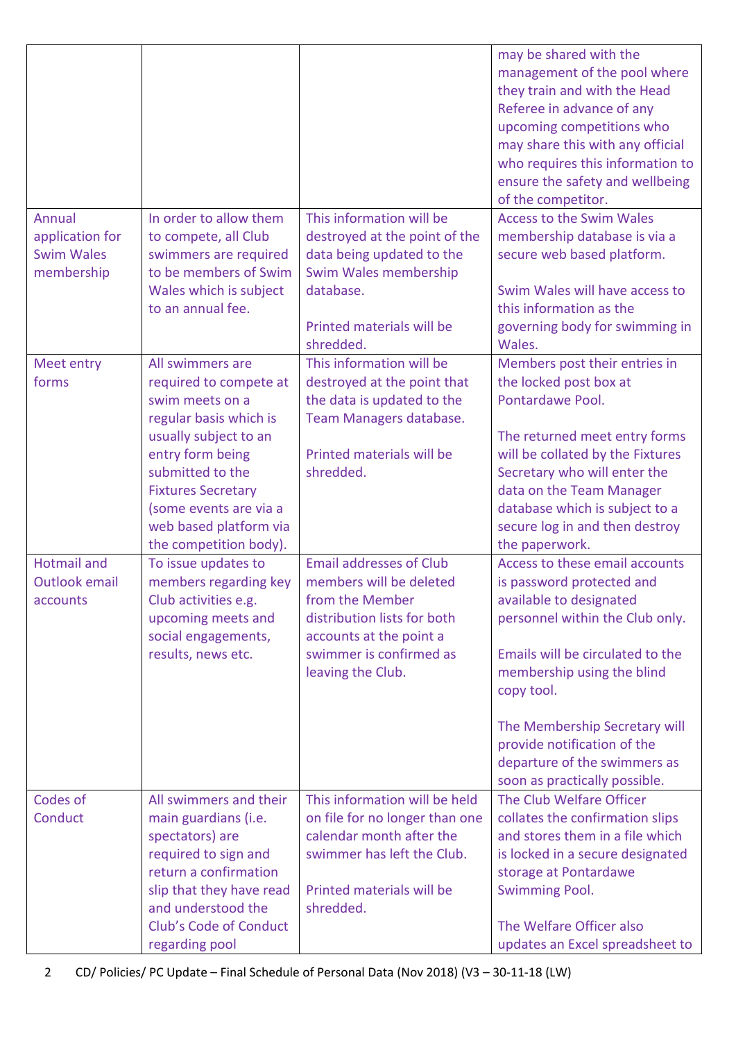|                      |                                      |                                        | may be shared with the<br>management of the pool where<br>they train and with the Head<br>Referee in advance of any<br>upcoming competitions who<br>may share this with any official<br>who requires this information to<br>ensure the safety and wellbeing<br>of the competitor. |
|----------------------|--------------------------------------|----------------------------------------|-----------------------------------------------------------------------------------------------------------------------------------------------------------------------------------------------------------------------------------------------------------------------------------|
| Annual               | In order to allow them               | This information will be               | <b>Access to the Swim Wales</b>                                                                                                                                                                                                                                                   |
| application for      | to compete, all Club                 | destroyed at the point of the          | membership database is via a                                                                                                                                                                                                                                                      |
| <b>Swim Wales</b>    | swimmers are required                | data being updated to the              | secure web based platform.                                                                                                                                                                                                                                                        |
| membership           | to be members of Swim                | Swim Wales membership                  |                                                                                                                                                                                                                                                                                   |
|                      | Wales which is subject               | database.                              | Swim Wales will have access to                                                                                                                                                                                                                                                    |
|                      | to an annual fee.                    |                                        | this information as the                                                                                                                                                                                                                                                           |
|                      |                                      | Printed materials will be<br>shredded. | governing body for swimming in<br>Wales.                                                                                                                                                                                                                                          |
| Meet entry           | All swimmers are                     | This information will be               | Members post their entries in                                                                                                                                                                                                                                                     |
| forms                | required to compete at               | destroyed at the point that            | the locked post box at                                                                                                                                                                                                                                                            |
|                      | swim meets on a                      | the data is updated to the             | Pontardawe Pool.                                                                                                                                                                                                                                                                  |
|                      | regular basis which is               | Team Managers database.                |                                                                                                                                                                                                                                                                                   |
|                      | usually subject to an                | Printed materials will be              | The returned meet entry forms                                                                                                                                                                                                                                                     |
|                      | entry form being<br>submitted to the | shredded.                              | will be collated by the Fixtures<br>Secretary who will enter the                                                                                                                                                                                                                  |
|                      | <b>Fixtures Secretary</b>            |                                        | data on the Team Manager                                                                                                                                                                                                                                                          |
|                      | (some events are via a               |                                        | database which is subject to a                                                                                                                                                                                                                                                    |
|                      | web based platform via               |                                        | secure log in and then destroy                                                                                                                                                                                                                                                    |
|                      | the competition body).               |                                        | the paperwork.                                                                                                                                                                                                                                                                    |
| <b>Hotmail and</b>   | To issue updates to                  | <b>Email addresses of Club</b>         | Access to these email accounts                                                                                                                                                                                                                                                    |
| <b>Outlook email</b> | members regarding key                | members will be deleted                | is password protected and                                                                                                                                                                                                                                                         |
| accounts             | Club activities e.g.                 | from the Member                        | available to designated                                                                                                                                                                                                                                                           |
|                      | upcoming meets and                   | distribution lists for both            | personnel within the Club only.                                                                                                                                                                                                                                                   |
|                      | social engagements,                  | accounts at the point a                |                                                                                                                                                                                                                                                                                   |
|                      | results, news etc.                   | swimmer is confirmed as                | Emails will be circulated to the                                                                                                                                                                                                                                                  |
|                      |                                      | leaving the Club.                      | membership using the blind                                                                                                                                                                                                                                                        |
|                      |                                      |                                        | copy tool.                                                                                                                                                                                                                                                                        |
|                      |                                      |                                        |                                                                                                                                                                                                                                                                                   |
|                      |                                      |                                        | The Membership Secretary will<br>provide notification of the                                                                                                                                                                                                                      |
|                      |                                      |                                        | departure of the swimmers as                                                                                                                                                                                                                                                      |
|                      |                                      |                                        | soon as practically possible.                                                                                                                                                                                                                                                     |
| Codes of             | All swimmers and their               | This information will be held          | The Club Welfare Officer                                                                                                                                                                                                                                                          |
| Conduct              | main guardians (i.e.                 | on file for no longer than one         | collates the confirmation slips                                                                                                                                                                                                                                                   |
|                      | spectators) are                      | calendar month after the               | and stores them in a file which                                                                                                                                                                                                                                                   |
|                      | required to sign and                 | swimmer has left the Club.             | is locked in a secure designated                                                                                                                                                                                                                                                  |
|                      | return a confirmation                |                                        | storage at Pontardawe                                                                                                                                                                                                                                                             |
|                      | slip that they have read             | Printed materials will be              | <b>Swimming Pool.</b>                                                                                                                                                                                                                                                             |
|                      | and understood the                   | shredded.                              |                                                                                                                                                                                                                                                                                   |
|                      | Club's Code of Conduct               |                                        | The Welfare Officer also                                                                                                                                                                                                                                                          |
|                      | regarding pool                       |                                        | updates an Excel spreadsheet to                                                                                                                                                                                                                                                   |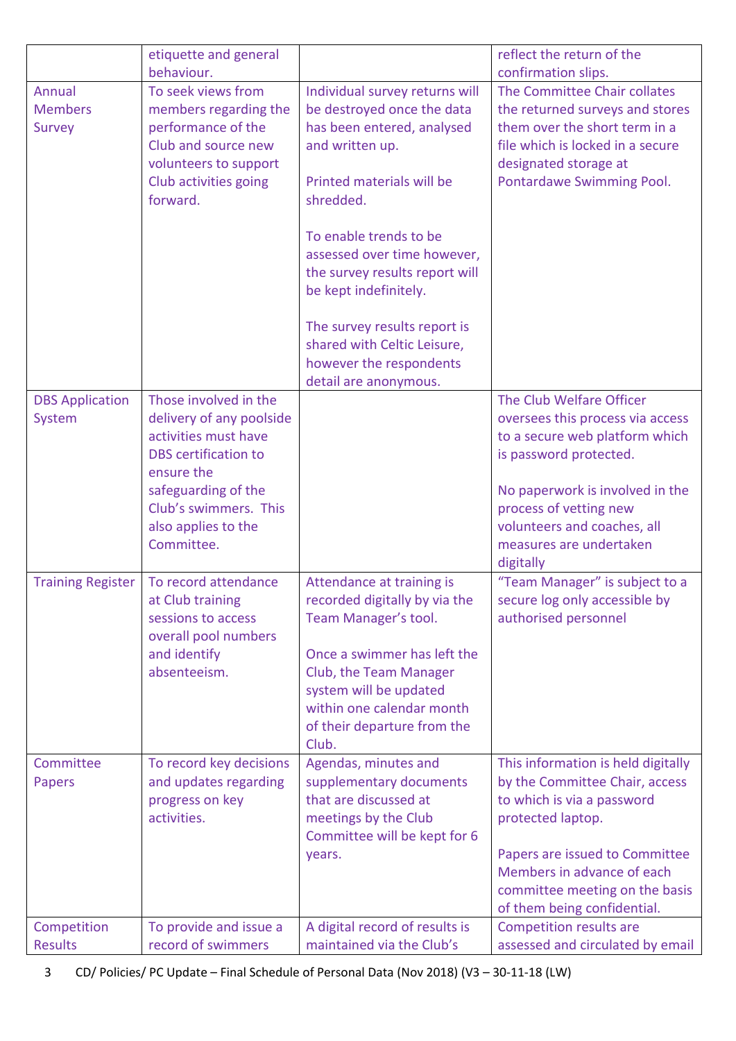|                                                  | etiquette and general<br>behaviour.                                                                                                                                                                         |                                                                                                                                                                                                                                                                                                                                                                                                | reflect the return of the<br>confirmation slips.                                                                                                                                                                                                             |
|--------------------------------------------------|-------------------------------------------------------------------------------------------------------------------------------------------------------------------------------------------------------------|------------------------------------------------------------------------------------------------------------------------------------------------------------------------------------------------------------------------------------------------------------------------------------------------------------------------------------------------------------------------------------------------|--------------------------------------------------------------------------------------------------------------------------------------------------------------------------------------------------------------------------------------------------------------|
| <b>Annual</b><br><b>Members</b><br><b>Survey</b> | To seek views from<br>members regarding the<br>performance of the<br>Club and source new<br>volunteers to support<br>Club activities going<br>forward.                                                      | Individual survey returns will<br>be destroyed once the data<br>has been entered, analysed<br>and written up.<br>Printed materials will be<br>shredded.<br>To enable trends to be<br>assessed over time however,<br>the survey results report will<br>be kept indefinitely.<br>The survey results report is<br>shared with Celtic Leisure,<br>however the respondents<br>detail are anonymous. | The Committee Chair collates<br>the returned surveys and stores<br>them over the short term in a<br>file which is locked in a secure<br>designated storage at<br>Pontardawe Swimming Pool.                                                                   |
| <b>DBS Application</b><br>System                 | Those involved in the<br>delivery of any poolside<br>activities must have<br><b>DBS</b> certification to<br>ensure the<br>safeguarding of the<br>Club's swimmers. This<br>also applies to the<br>Committee. |                                                                                                                                                                                                                                                                                                                                                                                                | The Club Welfare Officer<br>oversees this process via access<br>to a secure web platform which<br>is password protected.<br>No paperwork is involved in the<br>process of vetting new<br>volunteers and coaches, all<br>measures are undertaken<br>digitally |
| <b>Training Register</b>                         | To record attendance<br>at Club training<br>sessions to access<br>overall pool numbers<br>and identify<br>absenteeism.                                                                                      | Attendance at training is<br>recorded digitally by via the<br>Team Manager's tool.<br>Once a swimmer has left the<br>Club, the Team Manager<br>system will be updated<br>within one calendar month<br>of their departure from the<br>Club.                                                                                                                                                     | "Team Manager" is subject to a<br>secure log only accessible by<br>authorised personnel                                                                                                                                                                      |
| Committee<br><b>Papers</b>                       | To record key decisions<br>and updates regarding<br>progress on key<br>activities.                                                                                                                          | Agendas, minutes and<br>supplementary documents<br>that are discussed at<br>meetings by the Club<br>Committee will be kept for 6<br>years.                                                                                                                                                                                                                                                     | This information is held digitally<br>by the Committee Chair, access<br>to which is via a password<br>protected laptop.<br>Papers are issued to Committee<br>Members in advance of each<br>committee meeting on the basis<br>of them being confidential.     |
| Competition<br><b>Results</b>                    | To provide and issue a<br>record of swimmers                                                                                                                                                                | A digital record of results is<br>maintained via the Club's                                                                                                                                                                                                                                                                                                                                    | <b>Competition results are</b><br>assessed and circulated by email                                                                                                                                                                                           |

3 CD/ Policies/ PC Update – Final Schedule of Personal Data (Nov 2018) (V3 – 30-11-18 (LW)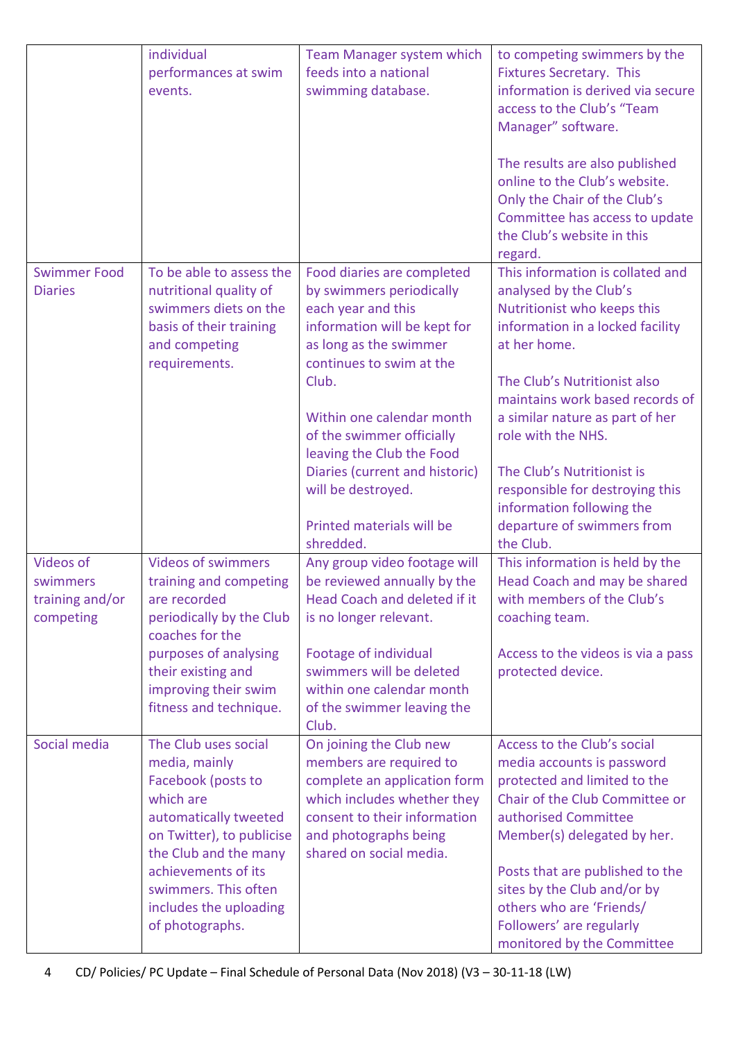|                                                              | individual<br>performances at swim<br>events.                                                                                                                                                                                                       | Team Manager system which<br>feeds into a national<br>swimming database.                                                                                                                                                                       | to competing swimmers by the<br><b>Fixtures Secretary. This</b><br>information is derived via secure<br>access to the Club's "Team<br>Manager" software.<br>The results are also published<br>online to the Club's website.<br>Only the Chair of the Club's<br>Committee has access to update<br>the Club's website in this                |
|--------------------------------------------------------------|-----------------------------------------------------------------------------------------------------------------------------------------------------------------------------------------------------------------------------------------------------|------------------------------------------------------------------------------------------------------------------------------------------------------------------------------------------------------------------------------------------------|--------------------------------------------------------------------------------------------------------------------------------------------------------------------------------------------------------------------------------------------------------------------------------------------------------------------------------------------|
| <b>Swimmer Food</b><br><b>Diaries</b>                        | To be able to assess the<br>nutritional quality of<br>swimmers diets on the<br>basis of their training<br>and competing<br>requirements.                                                                                                            | Food diaries are completed<br>by swimmers periodically<br>each year and this<br>information will be kept for<br>as long as the swimmer<br>continues to swim at the<br>Club.                                                                    | regard.<br>This information is collated and<br>analysed by the Club's<br>Nutritionist who keeps this<br>information in a locked facility<br>at her home.<br>The Club's Nutritionist also<br>maintains work based records of                                                                                                                |
|                                                              |                                                                                                                                                                                                                                                     | Within one calendar month<br>of the swimmer officially<br>leaving the Club the Food<br>Diaries (current and historic)<br>will be destroyed.<br>Printed materials will be<br>shredded.                                                          | a similar nature as part of her<br>role with the NHS.<br>The Club's Nutritionist is<br>responsible for destroying this<br>information following the<br>departure of swimmers from<br>the Club.                                                                                                                                             |
| <b>Videos of</b><br>swimmers<br>training and/or<br>competing | <b>Videos of swimmers</b><br>training and competing<br>are recorded<br>periodically by the Club<br>coaches for the<br>purposes of analysing<br>their existing and<br>improving their swim<br>fitness and technique.                                 | Any group video footage will<br>be reviewed annually by the<br>Head Coach and deleted if it<br>is no longer relevant.<br>Footage of individual<br>swimmers will be deleted<br>within one calendar month<br>of the swimmer leaving the<br>Club. | This information is held by the<br>Head Coach and may be shared<br>with members of the Club's<br>coaching team.<br>Access to the videos is via a pass<br>protected device.                                                                                                                                                                 |
| Social media                                                 | The Club uses social<br>media, mainly<br>Facebook (posts to<br>which are<br>automatically tweeted<br>on Twitter), to publicise<br>the Club and the many<br>achievements of its<br>swimmers. This often<br>includes the uploading<br>of photographs. | On joining the Club new<br>members are required to<br>complete an application form<br>which includes whether they<br>consent to their information<br>and photographs being<br>shared on social media.                                          | Access to the Club's social<br>media accounts is password<br>protected and limited to the<br>Chair of the Club Committee or<br>authorised Committee<br>Member(s) delegated by her.<br>Posts that are published to the<br>sites by the Club and/or by<br>others who are 'Friends/<br>Followers' are regularly<br>monitored by the Committee |